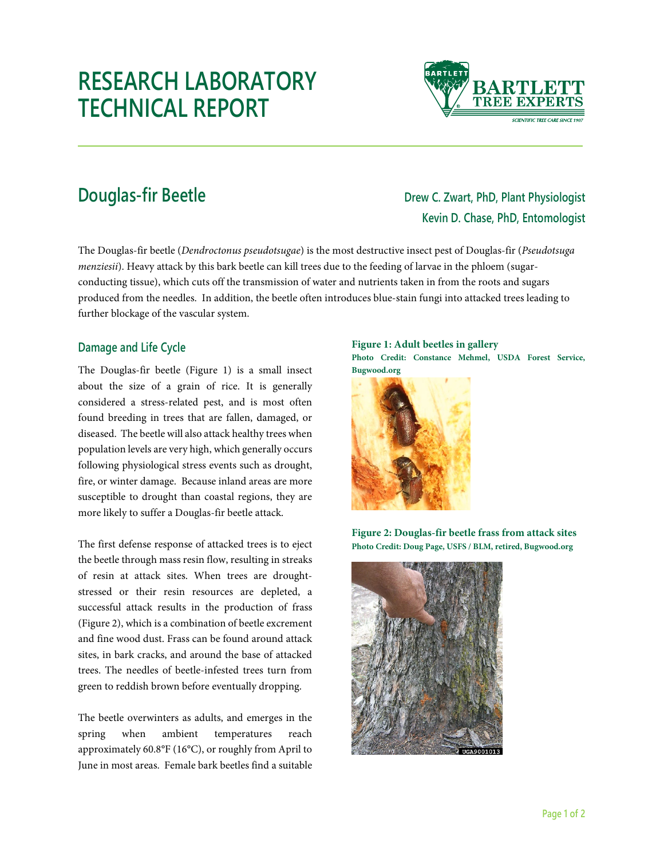# **RESEARCH LABORATORY TECHNICAL REPORT**



## **Douglas-fir Beetle Drew C. Zwart, PhD, Plant Physiologist Kevin D. Chase, PhD, Entomologist**

The Douglas-fir beetle (*Dendroctonus pseudotsugae*) is the most destructive insect pest of Douglas-fir (*Pseudotsuga menziesii*). Heavy attack by this bark beetle can kill trees due to the feeding of larvae in the phloem (sugarconducting tissue), which cuts off the transmission of water and nutrients taken in from the roots and sugars produced from the needles. In addition, the beetle often introduces blue-stain fungi into attacked trees leading to further blockage of the vascular system.

### **Damage and Life Cycle**

The Douglas-fir beetle (Figure 1) is a small insect about the size of a grain of rice. It is generally considered a stress-related pest, and is most often found breeding in trees that are fallen, damaged, or diseased. The beetle will also attack healthy trees when population levels are very high, which generally occurs following physiological stress events such as drought, fire, or winter damage. Because inland areas are more susceptible to drought than coastal regions, they are more likely to suffer a Douglas-fir beetle attack.

The first defense response of attacked trees is to eject the beetle through mass resin flow, resulting in streaks of resin at attack sites. When trees are droughtstressed or their resin resources are depleted, a successful attack results in the production of frass (Figure 2), which is a combination of beetle excrement and fine wood dust. Frass can be found around attack sites, in bark cracks, and around the base of attacked trees. The needles of beetle-infested trees turn from green to reddish brown before eventually dropping.

The beetle overwinters as adults, and emerges in the spring when ambient temperatures reach approximately 60.8°F (16°C), or roughly from April to June in most areas. Female bark beetles find a suitable

#### **Figure 1: Adult beetles in gallery**

**Photo Credit: Constance Mehmel, USDA Forest Service, Bugwood.org**



**Figure 2: Douglas-fir beetle frass from attack sites Photo Credit: Doug Page, USFS / BLM, retired, Bugwood.org**